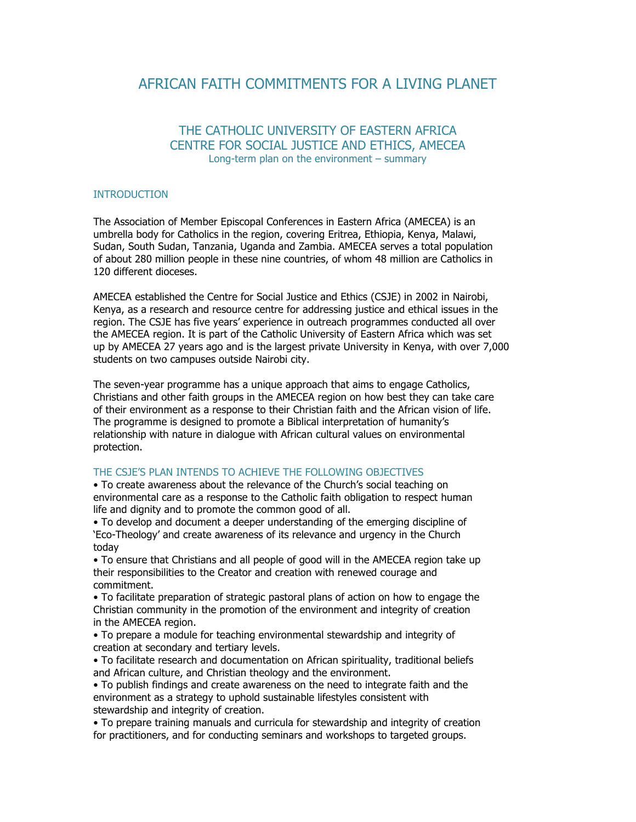# AFRICAN FAITH COMMITMENTS FOR A LIVING PLANET

## THE CATHOLIC UNIVERSITY OF EASTERN AFRICA CENTRE FOR SOCIAL JUSTICE AND ETHICS, AMECEA Long-term plan on the environment – summary

#### INTRODUCTION

The Association of Member Episcopal Conferences in Eastern Africa (AMECEA) is an umbrella body for Catholics in the region, covering Eritrea, Ethiopia, Kenya, Malawi, Sudan, South Sudan, Tanzania, Uganda and Zambia. AMECEA serves a total population of about 280 million people in these nine countries, of whom 48 million are Catholics in 120 different dioceses.

AMECEA established the Centre for Social Justice and Ethics (CSJE) in 2002 in Nairobi, Kenya, as a research and resource centre for addressing justice and ethical issues in the region. The CSJE has five years' experience in outreach programmes conducted all over the AMECEA region. It is part of the Catholic University of Eastern Africa which was set up by AMECEA 27 years ago and is the largest private University in Kenya, with over 7,000 students on two campuses outside Nairobi city.

The seven-year programme has a unique approach that aims to engage Catholics, Christians and other faith groups in the AMECEA region on how best they can take care of their environment as a response to their Christian faith and the African vision of life. The programme is designed to promote a Biblical interpretation of humanity's relationship with nature in dialogue with African cultural values on environmental protection.

#### THE CSJE'S PLAN INTENDS TO ACHIEVE THE FOLLOWING OBJECTIVES

• To create awareness about the relevance of the Church's social teaching on environmental care as a response to the Catholic faith obligation to respect human life and dignity and to promote the common good of all.

• To develop and document a deeper understanding of the emerging discipline of 'Eco-Theology' and create awareness of its relevance and urgency in the Church today

• To ensure that Christians and all people of good will in the AMECEA region take up their responsibilities to the Creator and creation with renewed courage and commitment.

• To facilitate preparation of strategic pastoral plans of action on how to engage the Christian community in the promotion of the environment and integrity of creation in the AMECEA region.

• To prepare a module for teaching environmental stewardship and integrity of creation at secondary and tertiary levels.

• To facilitate research and documentation on African spirituality, traditional beliefs and African culture, and Christian theology and the environment.

• To publish findings and create awareness on the need to integrate faith and the environment as a strategy to uphold sustainable lifestyles consistent with stewardship and integrity of creation.

• To prepare training manuals and curricula for stewardship and integrity of creation for practitioners, and for conducting seminars and workshops to targeted groups.